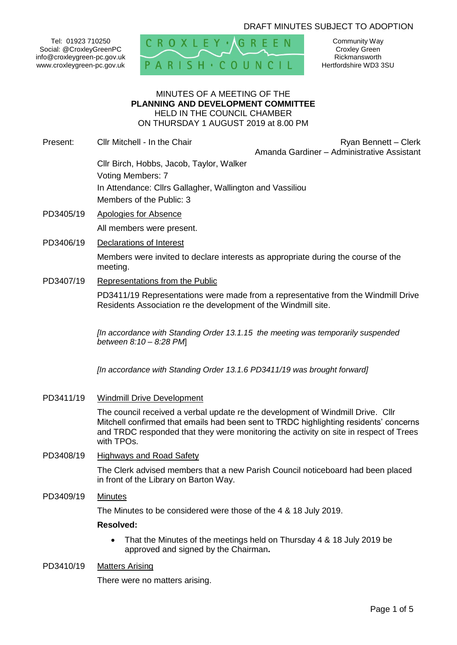# DRAFT MINUTES SUBJECT TO ADOPTION

Tel: 01923 710250 Social: @CroxleyGreenPC info@croxleygreen-pc.gov.uk www.croxleygreen-pc.gov.uk



Community Way Croxley Green Rickmansworth Hertfordshire WD3 3SU

#### MINUTES OF A MEETING OF THE **PLANNING AND DEVELOPMENT COMMITTEE** HELD IN THE COUNCIL CHAMBER ON THURSDAY 1 AUGUST 2019 at 8.00 PM

Present: Cllr Mitchell - In the Chair Ryan Bennett – Clerk Amanda Gardiner – Administrative Assistant

> Cllr Birch, Hobbs, Jacob, Taylor, Walker Voting Members: 7 In Attendance: Cllrs Gallagher, Wallington and Vassiliou Members of the Public: 3

PD3405/19 Apologies for Absence

All members were present.

PD3406/19 Declarations of Interest

Members were invited to declare interests as appropriate during the course of the meeting.

PD3407/19 Representations from the Public

PD3411/19 Representations were made from a representative from the Windmill Drive Residents Association re the development of the Windmill site.

*[In accordance with Standing Order 13.1.15 the meeting was temporarily suspended between 8:10 – 8:28 PM*]

*[In accordance with Standing Order 13.1.6 PD3411/19 was brought forward]*

PD3411/19 Windmill Drive Development

The council received a verbal update re the development of Windmill Drive. Cllr Mitchell confirmed that emails had been sent to TRDC highlighting residents' concerns and TRDC responded that they were monitoring the activity on site in respect of Trees with TPOs.

PD3408/19 Highways and Road Safety

The Clerk advised members that a new Parish Council noticeboard had been placed in front of the Library on Barton Way.

PD3409/19 Minutes

The Minutes to be considered were those of the 4 & 18 July 2019.

#### **Resolved:**

- That the Minutes of the meetings held on Thursday 4 & 18 July 2019 be approved and signed by the Chairman**.**
- PD3410/19 Matters Arising

There were no matters arising.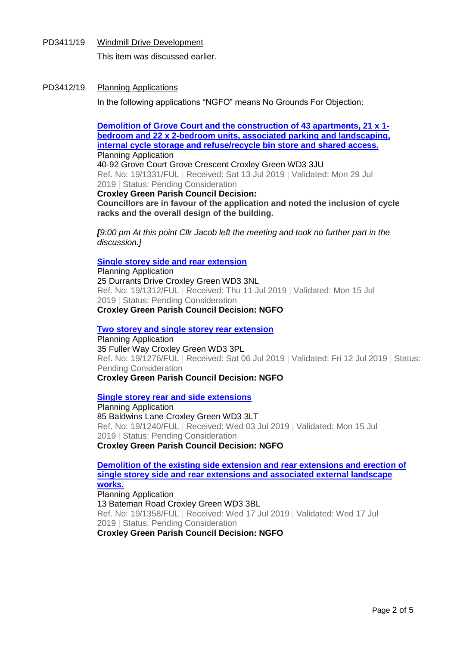PD3411/19 Windmill Drive Development This item was discussed earlier.

#### PD3412/19 Planning Applications

In the following applications "NGFO" means No Grounds For Objection:

**[Demolition of Grove Court and the construction of 43 apartments, 21 x 1](https://www3.threerivers.gov.uk/online-applications/applicationDetails.do?activeTab=summary&keyVal=PUKJI2QFG2300&prevPage=inTray) [bedroom and 22 x 2-bedroom units, associated parking and landscaping,](https://www3.threerivers.gov.uk/online-applications/applicationDetails.do?activeTab=summary&keyVal=PUKJI2QFG2300&prevPage=inTray)  [internal cycle storage and refuse/recycle bin store and shared access.](https://www3.threerivers.gov.uk/online-applications/applicationDetails.do?activeTab=summary&keyVal=PUKJI2QFG2300&prevPage=inTray)** Planning Application

40-92 Grove Court Grove Crescent Croxley Green WD3 3JU Ref. No: 19/1331/FUL | Received: Sat 13 Jul 2019 | Validated: Mon 29 Jul 2019 | Status: Pending Consideration

**Croxley Green Parish Council Decision:**

**Councillors are in favour of the application and noted the inclusion of cycle racks and the overall design of the building.**

*[9:00 pm At this point Cllr Jacob left the meeting and took no further part in the discussion.]*

#### **[Single storey side and rear extension](https://www3.threerivers.gov.uk/online-applications/applicationDetails.do?activeTab=summary&keyVal=PUGU5RQFG1600&prevPage=inTray)**

Planning Application 25 Durrants Drive Croxley Green WD3 3NL Ref. No: 19/1312/FUL | Received: Thu 11 Jul 2019 | Validated: Mon 15 Jul 2019 | Status: Pending Consideration **Croxley Green Parish Council Decision: NGFO**

#### **[Two storey and single storey rear extension](https://www3.threerivers.gov.uk/online-applications/applicationDetails.do?activeTab=summary&keyVal=PU7KUJQFFZ500&prevPage=inTray)**

Planning Application 35 Fuller Way Croxley Green WD3 3PL Ref. No: 19/1276/FUL | Received: Sat 06 Jul 2019 | Validated: Fri 12 Jul 2019 | Status: Pending Consideration **Croxley Green Parish Council Decision: NGFO**

#### **[Single storey rear and side extensions](https://www3.threerivers.gov.uk/online-applications/applicationDetails.do?activeTab=summary&keyVal=PU20TEQFFX900&prevPage=inTray)**

Planning Application 85 Baldwins Lane Croxley Green WD3 3LT Ref. No: 19/1240/FUL | Received: Wed 03 Jul 2019 | Validated: Mon 15 Jul 2019 | Status: Pending Consideration **Croxley Green Parish Council Decision: NGFO**

**[Demolition of the existing side extension and rear extensions and erection of](https://www3.threerivers.gov.uk/online-applications/applicationDetails.do?activeTab=summary&keyVal=PUS98VQFG3P00&prevPage=inTray)  [single storey side and rear extensions and associated external landscape](https://www3.threerivers.gov.uk/online-applications/applicationDetails.do?activeTab=summary&keyVal=PUS98VQFG3P00&prevPage=inTray)  [works.](https://www3.threerivers.gov.uk/online-applications/applicationDetails.do?activeTab=summary&keyVal=PUS98VQFG3P00&prevPage=inTray)** Planning Application

13 Bateman Road Croxley Green WD3 3BL Ref. No: 19/1358/FUL | Received: Wed 17 Jul 2019 | Validated: Wed 17 Jul 2019 | Status: Pending Consideration **Croxley Green Parish Council Decision: NGFO**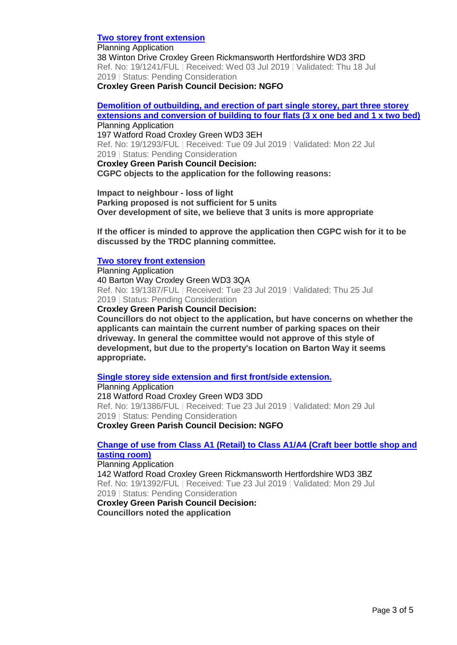#### **[Two storey front extension](https://www3.threerivers.gov.uk/online-applications/applicationDetails.do?activeTab=summary&keyVal=PU20UJQFFXC00&prevPage=inTray)**

Planning Application

38 Winton Drive Croxley Green Rickmansworth Hertfordshire WD3 3RD Ref. No: 19/1241/FUL | Received: Wed 03 Jul 2019 | Validated: Thu 18 Jul 2019 | Status: Pending Consideration **Croxley Green Parish Council Decision: NGFO**

**[Demolition of outbuilding, and erection of part single storey, part three storey](https://www3.threerivers.gov.uk/online-applications/applicationDetails.do?activeTab=summary&keyVal=PUD4XEQFG0900&prevPage=inTray)  [extensions and conversion of building to four flats \(3 x one bed and 1 x two bed\)](https://www3.threerivers.gov.uk/online-applications/applicationDetails.do?activeTab=summary&keyVal=PUD4XEQFG0900&prevPage=inTray)** Planning Application 197 Watford Road Croxley Green WD3 3EH

Ref. No: 19/1293/FUL | Received: Tue 09 Jul 2019 | Validated: Mon 22 Jul 2019 | Status: Pending Consideration

**Croxley Green Parish Council Decision: CGPC objects to the application for the following reasons:**

**Impact to neighbour - loss of light Parking proposed is not sufficient for 5 units Over development of site, we believe that 3 units is more appropriate**

**If the officer is minded to approve the application then CGPC wish for it to be discussed by the TRDC planning committee.**

## **[Two storey front extension](https://www3.threerivers.gov.uk/online-applications/applicationDetails.do?activeTab=summary&keyVal=PV327CQFG5H00&prevPage=inTray)**

Planning Application 40 Barton Way Croxley Green WD3 3QA Ref. No: 19/1387/FUL | Received: Tue 23 Jul 2019 | Validated: Thu 25 Jul 2019 | Status: Pending Consideration

**Croxley Green Parish Council Decision:**

**Councillors do not object to the application, but have concerns on whether the applicants can maintain the current number of parking spaces on their driveway. In general the committee would not approve of this style of development, but due to the property's location on Barton Way it seems appropriate.**

**[Single storey side extension and first front/side extension.](https://www3.threerivers.gov.uk/online-applications/applicationDetails.do?activeTab=summary&keyVal=PV326RQFG5E00&prevPage=inTray)**

Planning Application 218 Watford Road Croxley Green WD3 3DD Ref. No: 19/1386/FUL | Received: Tue 23 Jul 2019 | Validated: Mon 29 Jul 2019 | Status: Pending Consideration **Croxley Green Parish Council Decision: NGFO**

**[Change of use from Class A1 \(Retail\) to Class A1/A4 \(Craft beer bottle shop and](https://www3.threerivers.gov.uk/online-applications/applicationDetails.do?activeTab=summary&keyVal=PV3D8YQFG5M00&prevPage=inTray)  [tasting room\)](https://www3.threerivers.gov.uk/online-applications/applicationDetails.do?activeTab=summary&keyVal=PV3D8YQFG5M00&prevPage=inTray)**

Planning Application 142 Watford Road Croxley Green Rickmansworth Hertfordshire WD3 3BZ Ref. No: 19/1392/FUL | Received: Tue 23 Jul 2019 | Validated: Mon 29 Jul 2019 | Status: Pending Consideration **Croxley Green Parish Council Decision:**

**Councillors noted the application**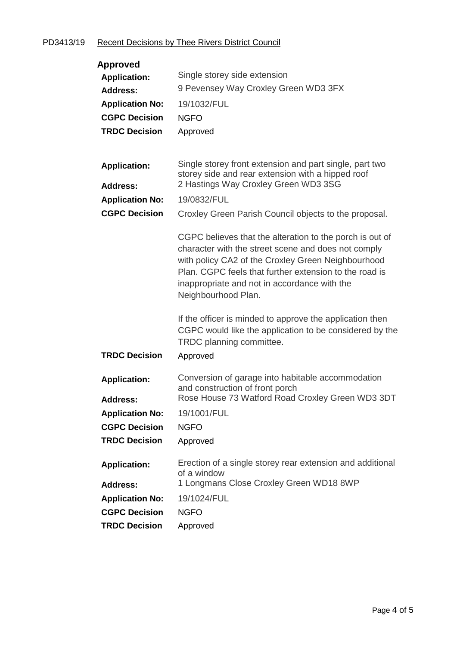# PD3413/19 Recent Decisions by Thee Rivers District Council

| <b>Approved</b><br><b>Application:</b>                                                   | Single storey side extension                                                                                                                                                                                                                                                                                                                                                                                                                              |
|------------------------------------------------------------------------------------------|-----------------------------------------------------------------------------------------------------------------------------------------------------------------------------------------------------------------------------------------------------------------------------------------------------------------------------------------------------------------------------------------------------------------------------------------------------------|
| <b>Address:</b>                                                                          | 9 Pevensey Way Croxley Green WD3 3FX                                                                                                                                                                                                                                                                                                                                                                                                                      |
| <b>Application No:</b>                                                                   | 19/1032/FUL                                                                                                                                                                                                                                                                                                                                                                                                                                               |
| <b>CGPC Decision</b>                                                                     | <b>NGFO</b>                                                                                                                                                                                                                                                                                                                                                                                                                                               |
| <b>TRDC Decision</b>                                                                     | Approved                                                                                                                                                                                                                                                                                                                                                                                                                                                  |
|                                                                                          |                                                                                                                                                                                                                                                                                                                                                                                                                                                           |
| <b>Application:</b><br><b>Address:</b>                                                   | Single storey front extension and part single, part two<br>storey side and rear extension with a hipped roof<br>2 Hastings Way Croxley Green WD3 3SG                                                                                                                                                                                                                                                                                                      |
| <b>Application No:</b>                                                                   | 19/0832/FUL                                                                                                                                                                                                                                                                                                                                                                                                                                               |
| <b>CGPC Decision</b>                                                                     | Croxley Green Parish Council objects to the proposal.                                                                                                                                                                                                                                                                                                                                                                                                     |
| <b>TRDC Decision</b>                                                                     | CGPC believes that the alteration to the porch is out of<br>character with the street scene and does not comply<br>with policy CA2 of the Croxley Green Neighbourhood<br>Plan, CGPC feels that further extension to the road is<br>inappropriate and not in accordance with the<br>Neighbourhood Plan.<br>If the officer is minded to approve the application then<br>CGPC would like the application to be considered by the<br>TRDC planning committee. |
|                                                                                          | Approved                                                                                                                                                                                                                                                                                                                                                                                                                                                  |
| <b>Application:</b><br><b>Address:</b><br><b>Application No:</b><br><b>CGPC Decision</b> | Conversion of garage into habitable accommodation<br>and construction of front porch<br>Rose House 73 Watford Road Croxley Green WD3 3DT<br>19/1001/FUL<br><b>NGFO</b>                                                                                                                                                                                                                                                                                    |
| <b>TRDC Decision</b>                                                                     | Approved                                                                                                                                                                                                                                                                                                                                                                                                                                                  |
|                                                                                          |                                                                                                                                                                                                                                                                                                                                                                                                                                                           |
| <b>Application:</b>                                                                      | Erection of a single storey rear extension and additional<br>of a window                                                                                                                                                                                                                                                                                                                                                                                  |
| <b>Address:</b>                                                                          | 1 Longmans Close Croxley Green WD18 8WP                                                                                                                                                                                                                                                                                                                                                                                                                   |
| <b>Application No:</b>                                                                   | 19/1024/FUL                                                                                                                                                                                                                                                                                                                                                                                                                                               |
| <b>CGPC Decision</b>                                                                     | <b>NGFO</b>                                                                                                                                                                                                                                                                                                                                                                                                                                               |
| <b>TRDC Decision</b>                                                                     | Approved                                                                                                                                                                                                                                                                                                                                                                                                                                                  |